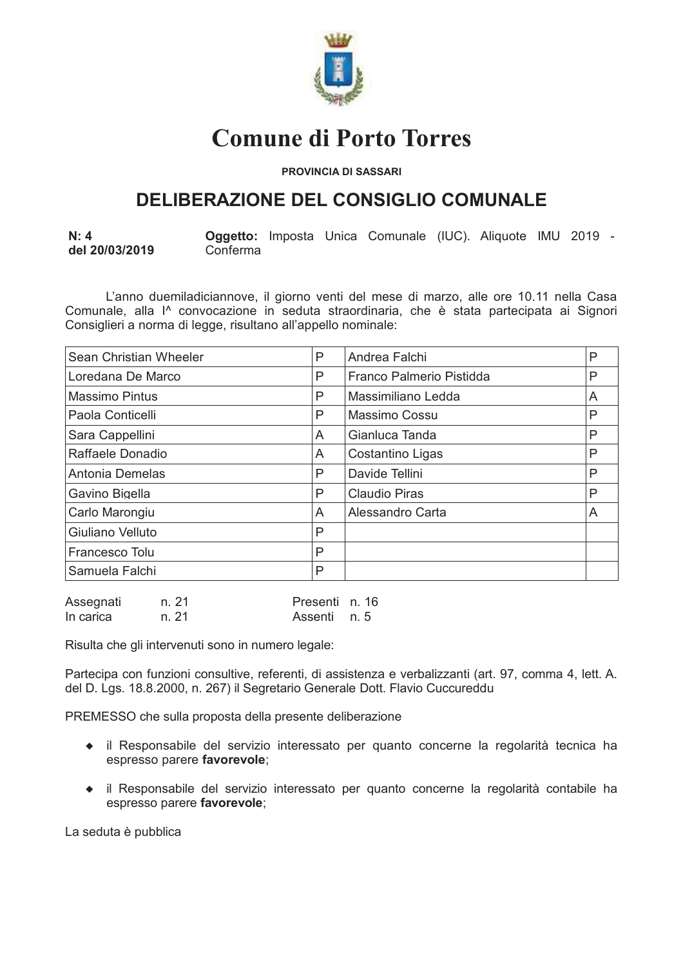

# **Comune di Porto Torres**

**PROVINCIA DI SASSARI** 

# **DELIBERAZIONE DEL CONSIGLIO COMUNALE**

Oggetto: Imposta Unica Comunale (IUC). Aliquote IMU 2019 - $N: 4$ del 20/03/2019 Conferma

L'anno duemiladiciannove, il giorno venti del mese di marzo, alle ore 10.11 nella Casa Comunale, alla l<sup>^</sup> convocazione in seduta straordinaria, che è stata partecipata ai Signori Consiglieri a norma di legge, risultano all'appello nominale:

| Sean Christian Wheeler | P | Andrea Falchi            | P |
|------------------------|---|--------------------------|---|
| Loredana De Marco      | P | Franco Palmerio Pistidda | P |
| <b>Massimo Pintus</b>  | P | Massimiliano Ledda       | A |
| Paola Conticelli       | P | Massimo Cossu            | P |
| Sara Cappellini        | A | Gianluca Tanda           | P |
| Raffaele Donadio       | A | Costantino Ligas         | P |
| Antonia Demelas        | P | Davide Tellini           | P |
| Gavino Bigella         | P | <b>Claudio Piras</b>     | P |
| Carlo Marongiu         | A | Alessandro Carta         | A |
| Giuliano Velluto       | Ρ |                          |   |
| Francesco Tolu         | P |                          |   |
| Samuela Falchi         | P |                          |   |
|                        |   |                          |   |

| Assegnati | n. 21 | Presenti n. 16 |  |
|-----------|-------|----------------|--|
| In carica | n. 21 | Assenti n. 5   |  |

Risulta che gli intervenuti sono in numero legale:

Partecipa con funzioni consultive, referenti, di assistenza e verbalizzanti (art. 97, comma 4, lett. A. del D. Lgs. 18.8.2000, n. 267) il Segretario Generale Dott. Flavio Cuccureddu

PREMESSO che sulla proposta della presente deliberazione

- il Responsabile del servizio interessato per quanto concerne la regolarità tecnica ha espresso parere favorevole:
- il Responsabile del servizio interessato per quanto concerne la regolarità contabile ha espresso parere favorevole:

La seduta è pubblica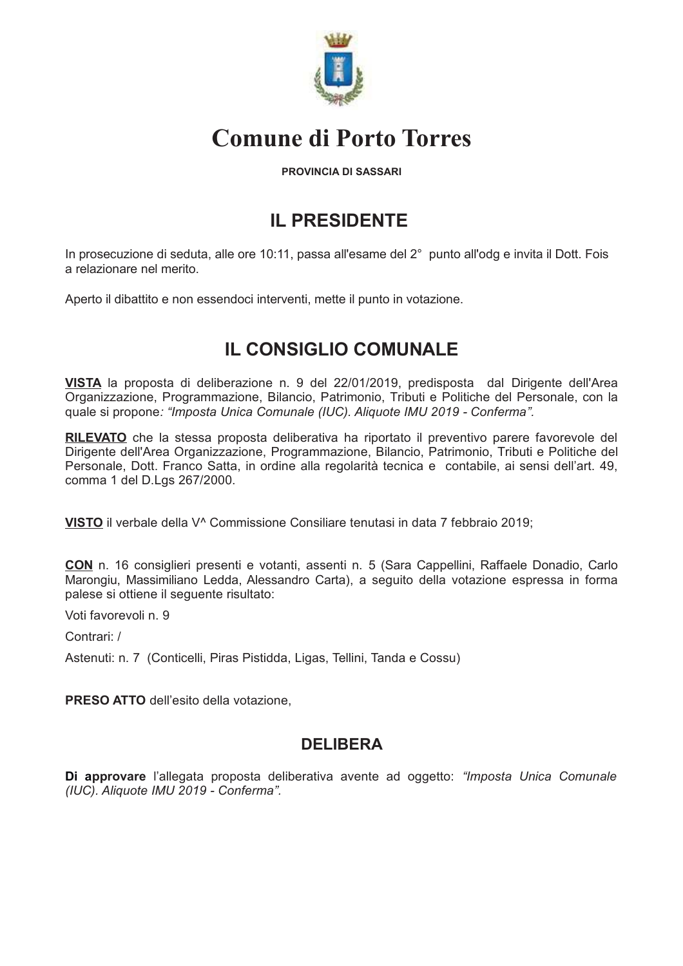

# **Comune di Porto Torres**

#### **PROVINCIA DI SASSARI**

# **IL PRESIDENTE**

In prosecuzione di seduta, alle ore 10:11, passa all'esame del 2° punto all'odg e invita il Dott. Fois a relazionare nel merito.

Aperto il dibattito e non essendoci interventi, mette il punto in votazione.

# **IL CONSIGLIO COMUNALE**

VISTA la proposta di deliberazione n. 9 del 22/01/2019, predisposta dal Dirigente dell'Area Organizzazione, Programmazione, Bilancio, Patrimonio, Tributi e Politiche del Personale, con la quale si propone: "Imposta Unica Comunale (IUC). Aliquote IMU 2019 - Conferma".

RILEVATO che la stessa proposta deliberativa ha riportato il preventivo parere favorevole del Dirigente dell'Area Organizzazione, Programmazione, Bilancio, Patrimonio, Tributi e Politiche del Personale, Dott. Franco Satta, in ordine alla regolarità tecnica e contabile, ai sensi dell'art. 49, comma 1 del D.Lgs 267/2000.

VISTO il verbale della V<sup>^</sup> Commissione Consiliare tenutasi in data 7 febbraio 2019;

CON n. 16 consiglieri presenti e votanti, assenti n. 5 (Sara Cappellini, Raffaele Donadio, Carlo Marongiu, Massimiliano Ledda, Alessandro Carta), a seguito della votazione espressa in forma palese si ottiene il seguente risultato:

Voti favorevoli n 9

Contrari /

Astenuti: n. 7 (Conticelli, Piras Pistidda, Ligas, Tellini, Tanda e Cossu)

**PRESO ATTO** dell'esito della votazione.

### **DELIBERA**

Di approvare l'allegata proposta deliberativa avente ad oggetto: "Imposta Unica Comunale (IUC). Aliquote IMU 2019 - Conferma".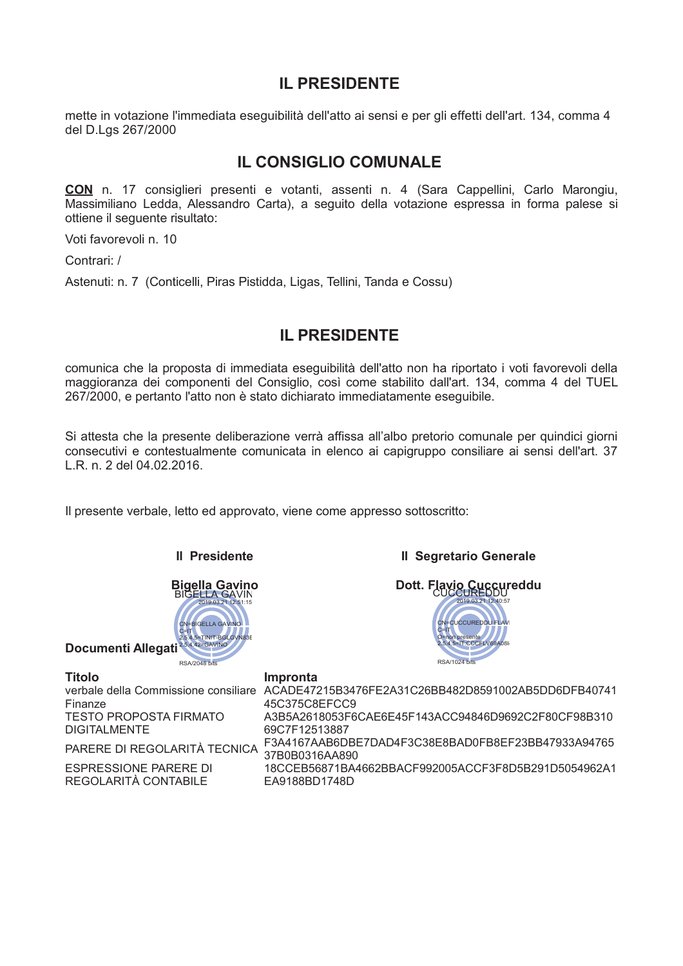## **IL PRESIDENTE**

mette in votazione l'immediata eseguibilità dell'atto ai sensi e per gli effetti dell'art. 134, comma 4 del D.Lgs 267/2000

### **IL CONSIGLIO COMUNALE**

**CON** n. 17 consiglieri presenti e votanti, assenti n. 4 (Sara Cappellini, Carlo Marongiu, Massimiliano Ledda, Alessandro Carta), a seguito della votazione espressa in forma palese si ottiene il seguente risultato:

Voti favorevoli n. 10

Contrari: /

Astenuti: n. 7 (Conticelli, Piras Pistidda, Ligas, Tellini, Tanda e Cossu)

### **II PRESIDENTE**

comunica che la proposta di immediata eseguibilità dell'atto non ha riportato i voti favorevoli della maggioranza dei componenti del Consiglio, così come stabilito dall'art. 134, comma 4 del TUEL 267/2000, e pertanto l'atto non è stato dichiarato immediatamente eseguibile.

Si attesta che la presente deliberazione verrà affissa all'albo pretorio comunale per quindici giorni consecutivi e contestualmente comunicata in elenco ai capigruppo consiliare ai sensi dell'art. 37 L.R. n. 2 del 04.02.2016.

Il presente verbale, letto ed approvato, viene come appresso sottoscritto:



**Il Presidente** 

#### **Il Segretario Generale**



Titolo Finanze **TESTO PROPOSTA FIRMATO DIGITALMENTE** 

**ESPRESSIONE PARERE DI** REGOLARITÀ CONTABILE

**Impronta** verbale della Commissione consiliare ACADE47215B3476FE2A31C26BB482D8591002AB5DD6DFB40741 45C375C8EFCC9 A3B5A2618053F6CAE6E45F143ACC94846D9692C2F80CF98B310 69C7F12513887 PARERE DI REGOLARITÀ TECNICA 57B0B0316AA890 F3A4167AAB6DBE7DAD4F3C38E8BAD0FB8EF23BB47933A94765 18CCEB56871BA4662BBACF992005ACCF3F8D5B291D5054962A1 EA9188BD1748D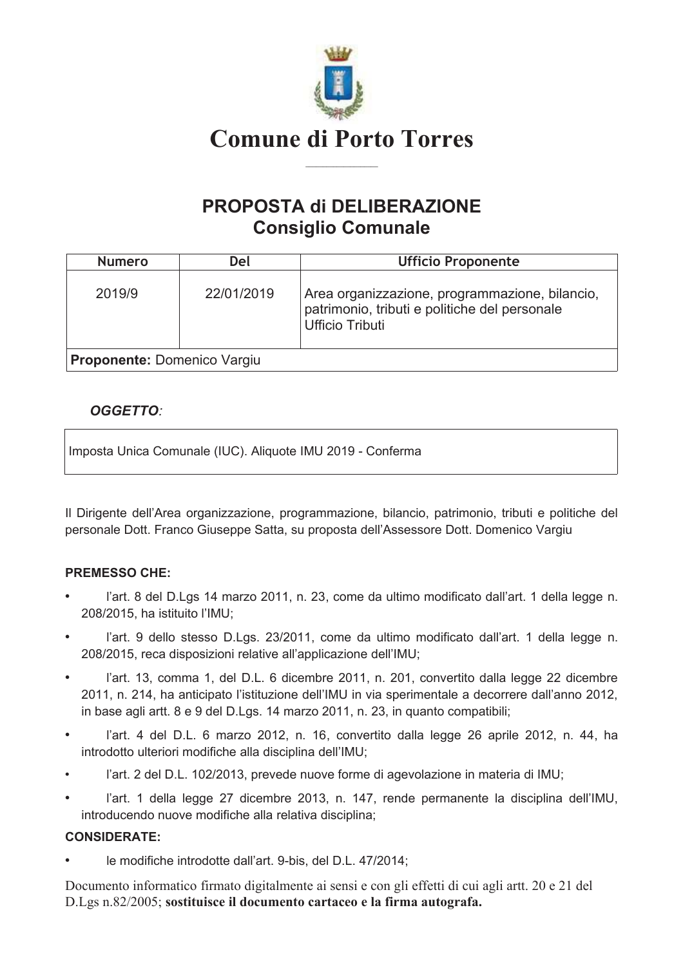

# PROPOSTA di DELIBERAZIONE **Consiglio Comunale**

| <b>Numero</b>                      | Del        | <b>Ufficio Proponente</b>                                                                                                 |
|------------------------------------|------------|---------------------------------------------------------------------------------------------------------------------------|
| 2019/9                             | 22/01/2019 | Area organizzazione, programmazione, bilancio,<br>patrimonio, tributi e politiche del personale<br><b>Ufficio Tributi</b> |
| <b>Proponente: Domenico Vargiu</b> |            |                                                                                                                           |

### **OGGETTO:**

Imposta Unica Comunale (IUC). Aliquote IMU 2019 - Conferma

Il Dirigente dell'Area organizzazione, programmazione, bilancio, patrimonio, tributi e politiche del personale Dott. Franco Giuseppe Satta, su proposta dell'Assessore Dott. Domenico Vargiu

#### **PREMESSO CHE:**

- l'art. 8 del D.Lgs 14 marzo 2011, n. 23, come da ultimo modificato dall'art. 1 della legge n. 208/2015. ha istituito l'IMU:
- l'art. 9 dello stesso D.Lgs. 23/2011, come da ultimo modificato dall'art. 1 della legge n. 208/2015, reca disposizioni relative all'applicazione dell'IMU;
- l'art. 13, comma 1, del D.L. 6 dicembre 2011, n. 201, convertito dalla legge 22 dicembre 2011, n. 214, ha anticipato l'istituzione dell'IMU in via sperimentale a decorrere dall'anno 2012, in base agli artt. 8 e 9 del D.Lgs. 14 marzo 2011, n. 23, in quanto compatibili;
- l'art. 4 del D.L. 6 marzo 2012, n. 16, convertito dalla legge 26 aprile 2012, n. 44, ha introdotto ulteriori modifiche alla disciplina dell'IMU;
- l'art. 2 del D.L. 102/2013, prevede nuove forme di agevolazione in materia di IMU;
- l'art. 1 della legge 27 dicembre 2013, n. 147, rende permanente la disciplina dell'IMU, introducendo nuove modifiche alla relativa disciplina;

#### **CONSIDERATE:**

le modifiche introdotte dall'art. 9-bis. del D.L. 47/2014: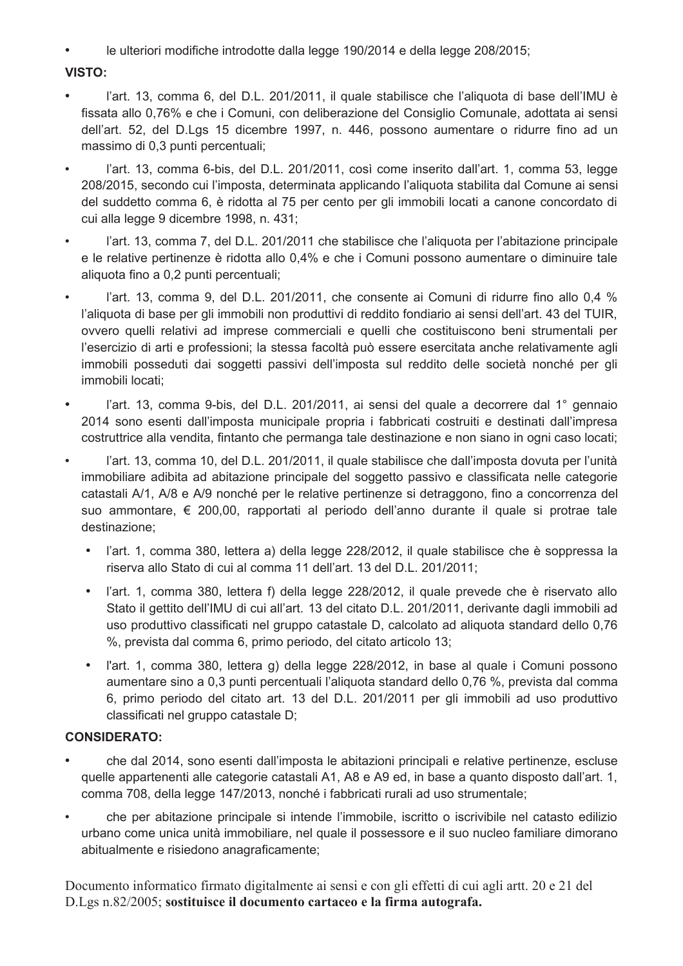le ulteriori modifiche introdotte dalla legge 190/2014 e della legge 208/2015;  $\bullet$  .

#### VISTO:

- l'art. 13, comma 6, del D.L. 201/2011, il quale stabilisce che l'aliquota di base dell'IMU è  $\bullet$ fissata allo 0,76% e che i Comuni, con deliberazione del Consiglio Comunale, adottata ai sensi dell'art. 52, del D.Lgs 15 dicembre 1997, n. 446, possono aumentare o ridurre fino ad un massimo di 0,3 punti percentuali;
- l'art. 13, comma 6-bis, del D.L. 201/2011, così come inserito dall'art. 1, comma 53, legge 208/2015, secondo cui l'imposta, determinata applicando l'aliguota stabilita dal Comune ai sensi del suddetto comma 6, è ridotta al 75 per cento per gli immobili locati a canone concordato di cui alla legge 9 dicembre 1998, n. 431;
- l'art. 13, comma 7, del D.L. 201/2011 che stabilisce che l'aliquota per l'abitazione principale e le relative pertinenze è ridotta allo 0.4% e che i Comuni possono aumentare o diminuire tale aliquota fino a 0,2 punti percentuali;
- l'art. 13, comma 9, del D.L. 201/2011, che consente ai Comuni di ridurre fino allo 0,4 % l'aliguota di base per gli immobili non produttivi di reddito fondiario ai sensi dell'art. 43 del TUIR, ovvero quelli relativi ad imprese commerciali e quelli che costituiscono beni strumentali per l'esercizio di arti e professioni; la stessa facoltà può essere esercitata anche relativamente agli immobili posseduti dai soggetti passivi dell'imposta sul reddito delle società nonché per gli immobili locati;
- l'art. 13, comma 9-bis, del D.L. 201/2011, ai sensi del quale a decorrere dal 1° gennaio 2014 sono esenti dall'imposta municipale propria i fabbricati costruiti e destinati dall'impresa costruttrice alla vendita, fintanto che permanga tale destinazione e non siano in ogni caso locati;
- l'art. 13, comma 10, del D.L. 201/2011, il quale stabilisce che dall'imposta dovuta per l'unità immobiliare adibita ad abitazione principale del soggetto passivo e classificata nelle categorie catastali A/1, A/8 e A/9 nonché per le relative pertinenze si detraggono, fino a concorrenza del suo ammontare, € 200,00, rapportati al periodo dell'anno durante il quale si protrae tale destinazione;
	- · l'art. 1, comma 380, lettera a) della legge 228/2012, il quale stabilisce che è soppressa la riserva allo Stato di cui al comma 11 dell'art. 13 del D.L. 201/2011;
	- l'art. 1, comma 380, lettera f) della legge 228/2012, il quale prevede che è riservato allo Stato il gettito dell'IMU di cui all'art. 13 del citato D.L. 201/2011, derivante dagli immobili ad uso produttivo classificati nel gruppo catastale D, calcolato ad aliguota standard dello 0,76 %, prevista dal comma 6, primo periodo, del citato articolo 13;
	- l'art. 1, comma 380, lettera g) della legge 228/2012, in base al quale i Comuni possono  $\bullet$  . aumentare sino a 0,3 punti percentuali l'aliquota standard dello 0,76 %, prevista dal comma 6, primo periodo del citato art. 13 del D.L. 201/2011 per gli immobili ad uso produttivo classificati nel gruppo catastale D;

#### **CONSIDERATO:**

- che dal 2014, sono esenti dall'imposta le abitazioni principali e relative pertinenze, escluse  $\bullet$ quelle appartenenti alle categorie catastali A1, A8 e A9 ed, in base a quanto disposto dall'art. 1, comma 708, della legge 147/2013, nonché i fabbricati rurali ad uso strumentale;
- che per abitazione principale si intende l'immobile, iscritto o iscrivibile nel catasto edilizio urbano come unica unità immobiliare, nel quale il possessore e il suo nucleo familiare dimorano abitualmente e risiedono anagraficamente;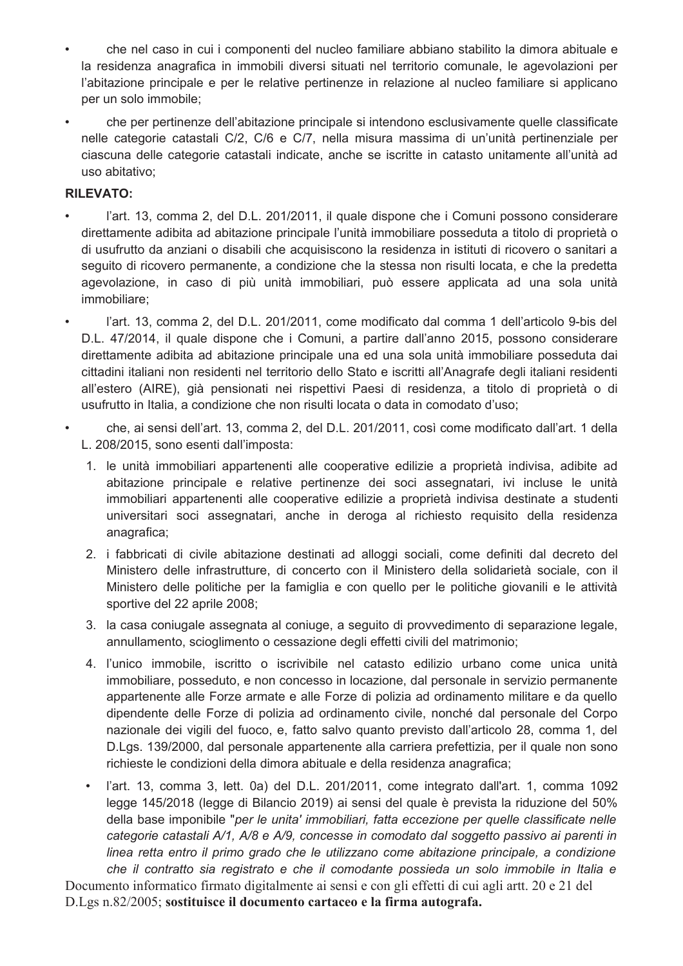- che nel caso in cui i componenti del nucleo familiare abbiano stabilito la dimora abituale e la residenza anagrafica in immobili diversi situati nel territorio comunale, le agevolazioni per l'abitazione principale e per le relative pertinenze in relazione al nucleo familiare si applicano per un solo immobile:
- che per pertinenze dell'abitazione principale si intendono esclusivamente quelle classificate nelle categorie catastali C/2, C/6 e C/7, nella misura massima di un'unità pertinenziale per ciascuna delle categorie catastali indicate, anche se iscritte in catasto unitamente all'unità ad uso abitativo;

#### **RILEVATO:**

- l'art. 13, comma 2, del D.L. 201/2011, il quale dispone che i Comuni possono considerare direttamente adibita ad abitazione principale l'unità immobiliare posseduta a titolo di proprietà o di usufrutto da anziani o disabili che acquisiscono la residenza in istituti di ricovero o sanitari a seguito di ricovero permanente, a condizione che la stessa non risulti locata, e che la predetta agevolazione, in caso di più unità immobiliari, può essere applicata ad una sola unità immobiliare;
- l'art. 13. comma 2, del D.L. 201/2011, come modificato dal comma 1 dell'articolo 9-bis del  $\bullet$ D.L. 47/2014, il quale dispone che i Comuni, a partire dall'anno 2015, possono considerare direttamente adibita ad abitazione principale una ed una sola unità immobiliare posseduta dai cittadini italiani non residenti nel territorio dello Stato e iscritti all'Anagrafe degli italiani residenti all'estero (AIRE), già pensionati nei rispettivi Paesi di residenza, a titolo di proprietà o di usufrutto in Italia, a condizione che non risulti locata o data in comodato d'uso;
- che, ai sensi dell'art. 13, comma 2, del D.L. 201/2011, così come modificato dall'art. 1 della L. 208/2015, sono esenti dall'imposta:
	- 1. le unità immobiliari appartenenti alle cooperative edilizie a proprietà indivisa, adibite ad abitazione principale e relative pertinenze dei soci assegnatari, ivi incluse le unità immobiliari appartenenti alle cooperative edilizie a proprietà indivisa destinate a studenti universitari soci assegnatari, anche in deroga al richiesto requisito della residenza anagrafica;
	- 2. i fabbricati di civile abitazione destinati ad alloggi sociali, come definiti dal decreto del Ministero delle infrastrutture, di concerto con il Ministero della solidarietà sociale, con il Ministero delle politiche per la famiglia e con quello per le politiche giovanili e le attività sportive del 22 aprile 2008;
	- 3. la casa coniugale assegnata al coniuge, a seguito di provvedimento di separazione legale, annullamento, scioglimento o cessazione degli effetti civili del matrimonio;
	- 4. l'unico immobile, iscritto o iscrivibile nel catasto edilizio urbano come unica unità immobiliare, posseduto, e non concesso in locazione, dal personale in servizio permanente appartenente alle Forze armate e alle Forze di polizia ad ordinamento militare e da quello dipendente delle Forze di polizia ad ordinamento civile, nonché dal personale del Corpo nazionale dei vigili del fuoco, e, fatto salvo quanto previsto dall'articolo 28, comma 1, del D.Lgs. 139/2000, dal personale appartenente alla carriera prefettizia, per il quale non sono richieste le condizioni della dimora abituale e della residenza anagrafica;
	- l'art. 13, comma 3, lett. 0a) del D.L. 201/2011, come integrato dall'art. 1, comma 1092 legge 145/2018 (legge di Bilancio 2019) ai sensi del quale è prevista la riduzione del 50% della base imponibile "per le unita' immobiliari, fatta eccezione per quelle classificate nelle categorie catastali A/1, A/8 e A/9, concesse in comodato dal soggetto passivo ai parenti in linea retta entro il primo grado che le utilizzano come abitazione principale, a condizione

che il contratto sia registrato e che il comodante possieda un solo immobile in Italia e Documento informatico firmato digitalmente ai sensi e con gli effetti di cui agli artt. 20 e 21 del D.Lgs n.82/2005; sostituisce il documento cartaceo e la firma autografa.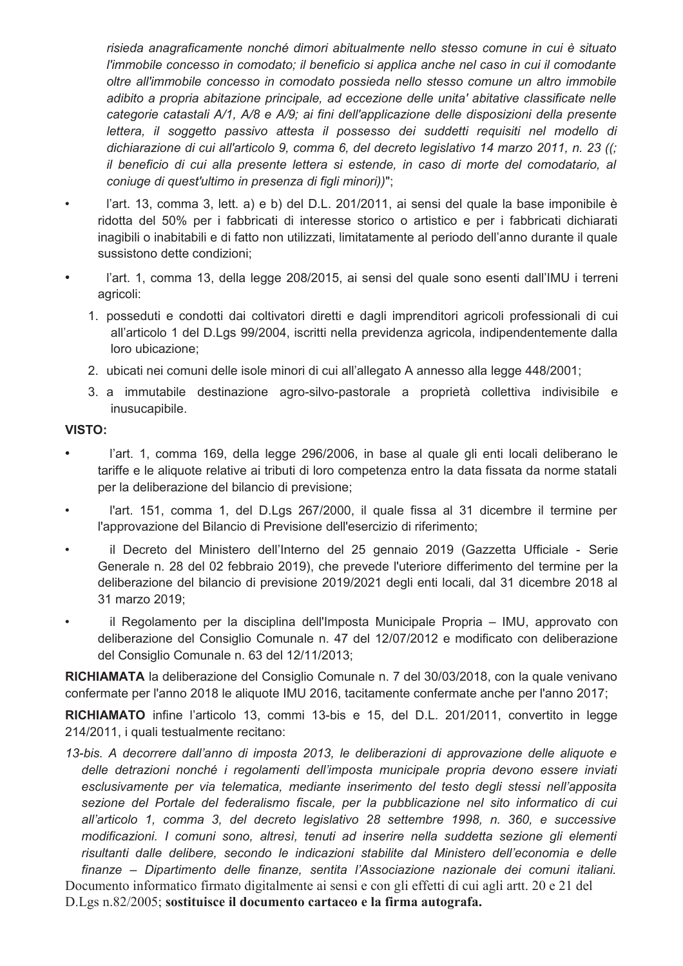risieda anagraficamente nonché dimori abitualmente nello stesso comune in cui è situato l'immobile concesso in comodato; il beneficio si applica anche nel caso in cui il comodante oltre all'immobile concesso in comodato possieda nello stesso comune un altro immobile adibito a propria abitazione principale, ad eccezione delle unita' abitative classificate nelle categorie catastali A/1, A/8 e A/9; ai fini dell'applicazione delle disposizioni della presente lettera, il soggetto passivo attesta il possesso dei suddetti reguisiti nel modello di dichiarazione di cui all'articolo 9, comma 6, del decreto legislativo 14 marzo 2011, n. 23 ((; il beneficio di cui alla presente lettera si estende, in caso di morte del comodatario, al coniuge di quest'ultimo in presenza di figli minori))";

- l'art. 13, comma 3, lett. a) e b) del D.L. 201/2011, ai sensi del quale la base imponibile è  $\bullet$ ridotta del 50% per i fabbricati di interesse storico o artistico e per i fabbricati dichiarati inagibili o inabitabili e di fatto non utilizzati, limitatamente al periodo dell'anno durante il quale sussistono dette condizioni;
- l'art. 1, comma 13, della legge 208/2015, ai sensi del quale sono esenti dall'IMU i terreni  $\bullet$ agricoli:
	- 1. posseduti e condotti dai coltivatori diretti e dagli imprenditori agricoli professionali di cui all'articolo 1 del D.Lgs 99/2004, iscritti nella previdenza agricola, indipendentemente dalla loro ubicazione:
	- 2. ubicati nei comuni delle isole minori di cui all'allegato A annesso alla legge 448/2001;
	- 3. a immutabile destinazione agro-silvo-pastorale a proprietà collettiva indivisibile e inusucapibile.

#### VISTO:

- $\bullet$ l'art. 1, comma 169, della legge 296/2006, in base al quale gli enti locali deliberano le tariffe e le aliquote relative ai tributi di loro competenza entro la data fissata da norme statali per la deliberazione del bilancio di previsione;
- l'art. 151, comma 1, del D.Lgs 267/2000, il quale fissa al 31 dicembre il termine per  $\bullet$ l'approvazione del Bilancio di Previsione dell'esercizio di riferimento;
- il Decreto del Ministero dell'Interno del 25 gennaio 2019 (Gazzetta Ufficiale Serie  $\bullet$ Generale n. 28 del 02 febbraio 2019), che prevede l'uteriore differimento del termine per la deliberazione del bilancio di previsione 2019/2021 degli enti locali, dal 31 dicembre 2018 al 31 marzo 2019;
- il Regolamento per la disciplina dell'Imposta Municipale Propria IMU, approvato con deliberazione del Consiglio Comunale n. 47 del 12/07/2012 e modificato con deliberazione del Consiglio Comunale n. 63 del 12/11/2013;

RICHIAMATA la deliberazione del Consiglio Comunale n. 7 del 30/03/2018, con la quale venivano confermate per l'anno 2018 le aliquote IMU 2016, tacitamente confermate anche per l'anno 2017;

RICHIAMATO infine l'articolo 13, commi 13-bis e 15, del D.L. 201/2011, convertito in legge 214/2011, i quali testualmente recitano:

13-bis. A decorrere dall'anno di imposta 2013, le deliberazioni di approvazione delle aliquote e delle detrazioni nonché i regolamenti dell'imposta municipale propria devono essere inviati esclusivamente per via telematica, mediante inserimento del testo degli stessi nell'apposita sezione del Portale del federalismo fiscale, per la pubblicazione nel sito informatico di cui all'articolo 1, comma 3, del decreto legislativo 28 settembre 1998, n. 360, e successive modificazioni. I comuni sono, altresì, tenuti ad inserire nella suddetta sezione gli elementi risultanti dalle delibere, secondo le indicazioni stabilite dal Ministero dell'economia e delle finanze – Dipartimento delle finanze, sentita l'Associazione nazionale dei comuni italiani.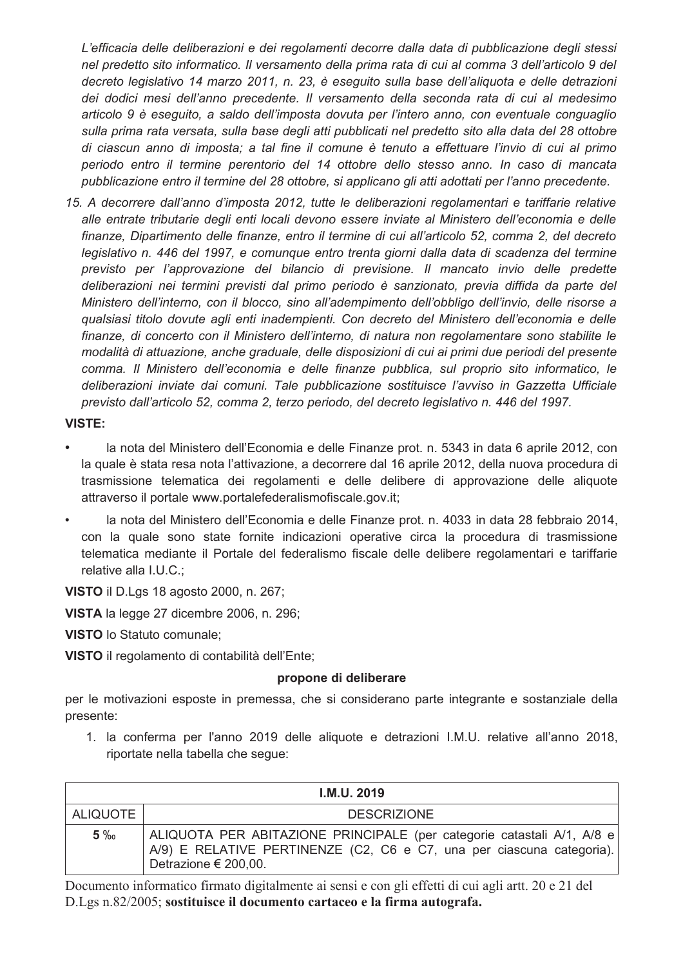L'efficacia delle deliberazioni e dei regolamenti decorre dalla data di pubblicazione degli stessi nel predetto sito informatico. Il versamento della prima rata di cui al comma 3 dell'articolo 9 del decreto legislativo 14 marzo 2011, n. 23, è eseguito sulla base dell'aliquota e delle detrazioni dei dodici mesi dell'anno precedente. Il versamento della seconda rata di cui al medesimo articolo 9 è eseguito, a saldo dell'imposta dovuta per l'intero anno, con eventuale conguaglio sulla prima rata versata, sulla base degli atti pubblicati nel predetto sito alla data del 28 ottobre di ciascun anno di imposta: a tal fine il comune è tenuto a effettuare l'invio di cui al primo periodo entro il termine perentorio del 14 ottobre dello stesso anno. In caso di mancata pubblicazione entro il termine del 28 ottobre, si applicano gli atti adottati per l'anno precedente.

15. A decorrere dall'anno d'imposta 2012, tutte le deliberazioni regolamentari e tariffarie relative alle entrate tributarie degli enti locali devono essere inviate al Ministero dell'economia e delle finanze, Dipartimento delle finanze, entro il termine di cui all'articolo 52, comma 2, del decreto legislativo n. 446 del 1997, e comunque entro trenta giorni dalla data di scadenza del termine previsto per l'approvazione del bilancio di previsione. Il mancato invio delle predette deliberazioni nei termini previsti dal primo periodo è sanzionato, previa diffida da parte del Ministero dell'interno, con il blocco, sino all'adempimento dell'obbligo dell'invio, delle risorse a qualsiasi titolo dovute agli enti inadempienti. Con decreto del Ministero dell'economia e delle finanze, di concerto con il Ministero dell'interno, di natura non regolamentare sono stabilite le modalità di attuazione, anche graduale, delle disposizioni di cui ai primi due periodi del presente comma. Il Ministero dell'economia e delle finanze pubblica, sul proprio sito informatico, le deliberazioni inviate dai comuni. Tale pubblicazione sostituisce l'avviso in Gazzetta Ufficiale previsto dall'articolo 52, comma 2, terzo periodo, del decreto legislativo n. 446 del 1997.

#### **VISTE:**

- la nota del Ministero dell'Economia e delle Finanze prot. n. 5343 in data 6 aprile 2012, con la quale è stata resa nota l'attivazione, a decorrere dal 16 aprile 2012, della nuova procedura di trasmissione telematica dei regolamenti e delle delibere di approvazione delle aliquote attraverso il portale www.portalefederalismofiscale.gov.it;
- la nota del Ministero dell'Economia e delle Finanze prot. n. 4033 in data 28 febbraio 2014, con la quale sono state fornite indicazioni operative circa la procedura di trasmissione telematica mediante il Portale del federalismo fiscale delle delibere regolamentari e tariffarie relative alla I.U.C.;

VISTO il D.Lgs 18 agosto 2000, n. 267;

VISTA la legge 27 dicembre 2006, n. 296;

**VISTO** lo Statuto comunale:

VISTO il regolamento di contabilità dell'Ente;

#### propone di deliberare

per le motivazioni esposte in premessa, che si considerano parte integrante e sostanziale della presente:

1. la conferma per l'anno 2019 delle aliguote e detrazioni I.M.U. relative all'anno 2018. riportate nella tabella che segue:

|                 | <b>I.M.U. 2019</b>                                                                                                                                                           |
|-----------------|------------------------------------------------------------------------------------------------------------------------------------------------------------------------------|
| <b>ALIQUOTE</b> | <b>DESCRIZIONE</b>                                                                                                                                                           |
| $5\%$           | ALIQUOTA PER ABITAZIONE PRINCIPALE (per categorie catastali A/1, A/8 e)<br>A/9) E RELATIVE PERTINENZE (C2, C6 e C7, una per ciascuna categoria).<br>Detrazione $\in$ 200,00. |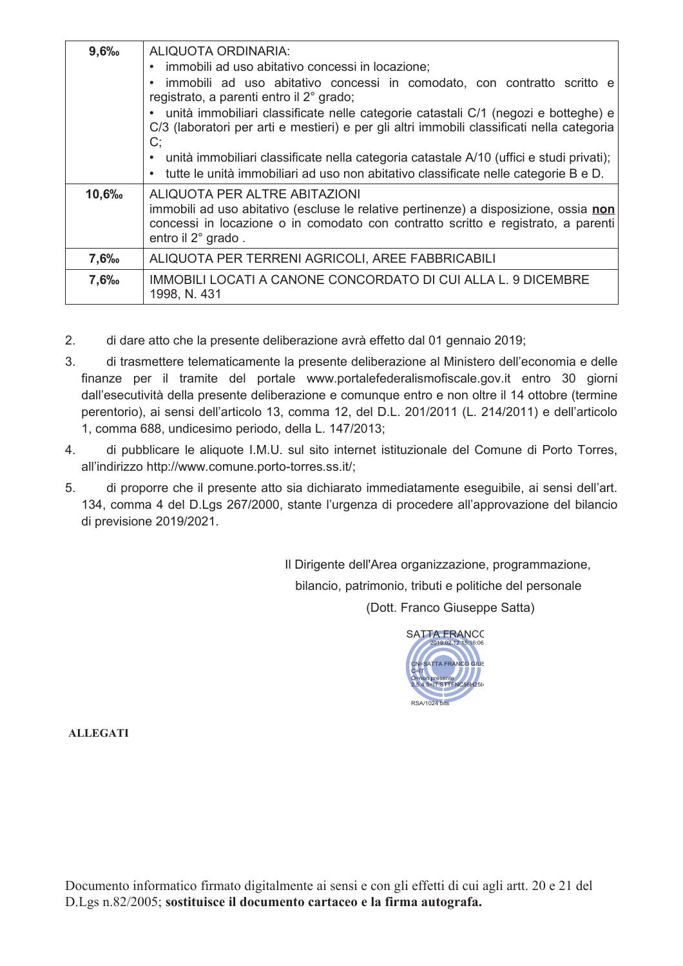| 9,6%  | ALIQUOTA ORDINARIA:<br>immobili ad uso abitativo concessi in locazione;<br>immobili ad uso abitativo concessi in comodato, con contratto scritto e<br>registrato, a parenti entro il 2° grado;<br>unità immobiliari classificate nelle categorie catastali C/1 (negozi e botteghe) e<br>C/3 (laboratori per arti e mestieri) e per gli altri immobili classificati nella categoria<br>C;<br>unità immobiliari classificate nella categoria catastale A/10 (uffici e studi privati);<br>tutte le unità immobiliari ad uso non abitativo classificate nelle categorie B e D. |
|-------|----------------------------------------------------------------------------------------------------------------------------------------------------------------------------------------------------------------------------------------------------------------------------------------------------------------------------------------------------------------------------------------------------------------------------------------------------------------------------------------------------------------------------------------------------------------------------|
| 10,6% | ALIQUOTA PER ALTRE ABITAZIONI<br>immobili ad uso abitativo (escluse le relative pertinenze) a disposizione, ossia non<br>concessi in locazione o in comodato con contratto scritto e registrato, a parenti<br>entro il 2° grado.                                                                                                                                                                                                                                                                                                                                           |
| 7,6%  | ALIQUOTA PER TERRENI AGRICOLI, AREE FABBRICABILI                                                                                                                                                                                                                                                                                                                                                                                                                                                                                                                           |
| 7,6‰  | IMMOBILI LOCATI A CANONE CONCORDATO DI CUI ALLA L. 9 DICEMBRE<br>1998, N. 431                                                                                                                                                                                                                                                                                                                                                                                                                                                                                              |

- $2.$ di dare atto che la presente deliberazione avrà effetto dal 01 gennaio 2019;
- $\mathcal{S}$ di trasmettere telematicamente la presente deliberazione al Ministero dell'economia e delle finanze per il tramite del portale www.portalefederalismofiscale.gov.it entro 30 giorni dall'esecutività della presente deliberazione e comunque entro e non oltre il 14 ottobre (termine perentorio), ai sensi dell'articolo 13, comma 12, del D.L. 201/2011 (L. 214/2011) e dell'articolo 1, comma 688, undicesimo periodo, della L. 147/2013;
- $4.$ di pubblicare le aliquote I.M.U. sul sito internet istituzionale del Comune di Porto Torres, all'indirizzo http://www.comune.porto-torres.ss.it/;
- $5<sub>1</sub>$ di proporre che il presente atto sia dichiarato immediatamente eseguibile, ai sensi dell'art. 134, comma 4 del D.Lgs 267/2000, stante l'urgenza di procedere all'approvazione del bilancio di previsione 2019/2021.

Il Dirigente dell'Area organizzazione, programmazione, bilancio, patrimonio, tributi e politiche del personale (Dott. Franco Giuseppe Satta)

> **SATTA FRANCO TTA FRANCO** STTFNC56H251 RSA/1024 bits

**ALLEGATI**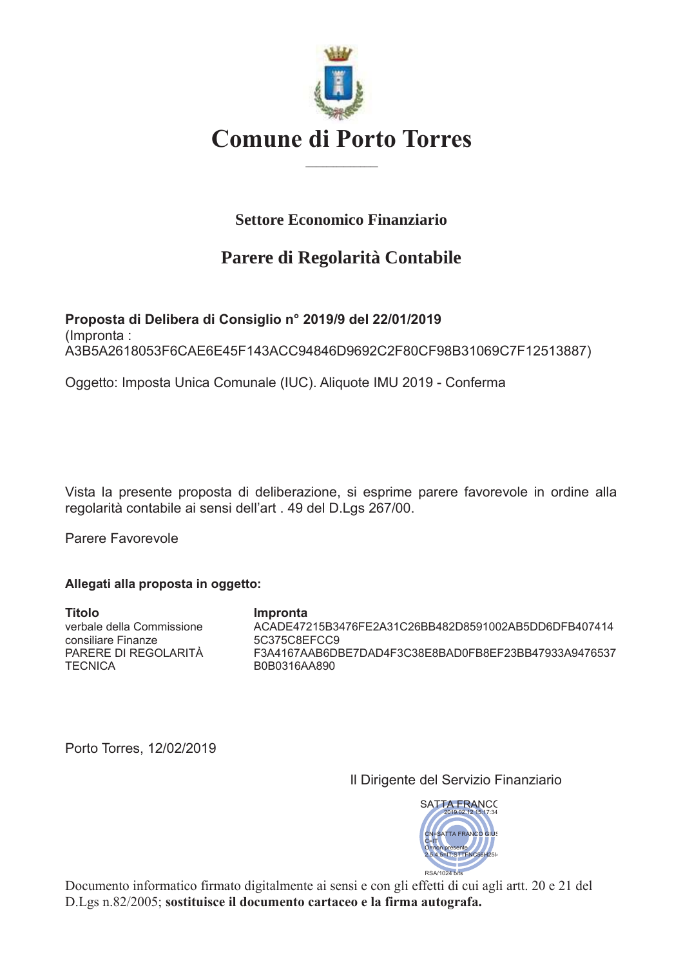

## **Settore Economico Finanziario**

# Parere di Regolarità Contabile

Proposta di Delibera di Consiglio nº 2019/9 del 22/01/2019 (Impronta: A3B5A2618053F6CAE6E45F143ACC94846D9692C2F80CF98B31069C7F12513887)

Oggetto: Imposta Unica Comunale (IUC). Aliquote IMU 2019 - Conferma

Vista la presente proposta di deliberazione, si esprime parere favorevole in ordine alla regolarità contabile ai sensi dell'art. 49 del D.Lgs 267/00.

Parere Favorevole

#### Allegati alla proposta in oggetto:

**Titolo** Impronta verbale della Commissione ACADE47215B3476FE2A31C26BB482D8591002AB5DD6DFB407414 5C375C8EFCC9 consiliare Finanze PARERE DI REGOLARITÀ F3A4167AAB6DBE7DAD4F3C38E8BAD0FB8EF23BB47933A9476537 **TECNICA** B0B0316AA890

Porto Torres, 12/02/2019

Il Dirigente del Servizio Finanziario